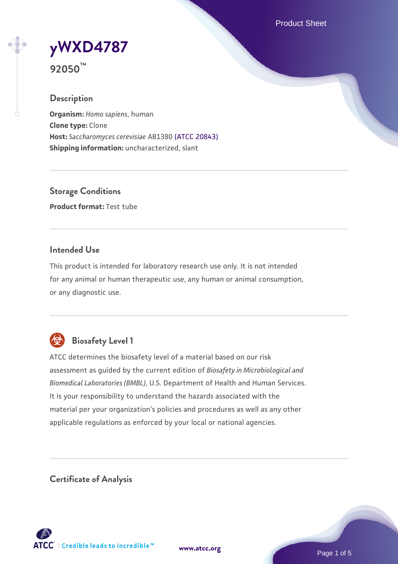Product Sheet

**[yWXD4787](https://www.atcc.org/products/92050)**

**92050™**

# **Description**

**Organism:** *Homo sapiens*, human **Clone type:** Clone **Host:** *Saccharomyces cerevisiae* AB1380 [\(ATCC 20843\)](https://www.atcc.org/products/20843) **Shipping information:** uncharacterized, slant

**Storage Conditions Product format:** Test tube

# **Intended Use**

This product is intended for laboratory research use only. It is not intended for any animal or human therapeutic use, any human or animal consumption, or any diagnostic use.



# **Biosafety Level 1**

ATCC determines the biosafety level of a material based on our risk assessment as guided by the current edition of *Biosafety in Microbiological and Biomedical Laboratories (BMBL)*, U.S. Department of Health and Human Services. It is your responsibility to understand the hazards associated with the material per your organization's policies and procedures as well as any other applicable regulations as enforced by your local or national agencies.

**Certificate of Analysis**

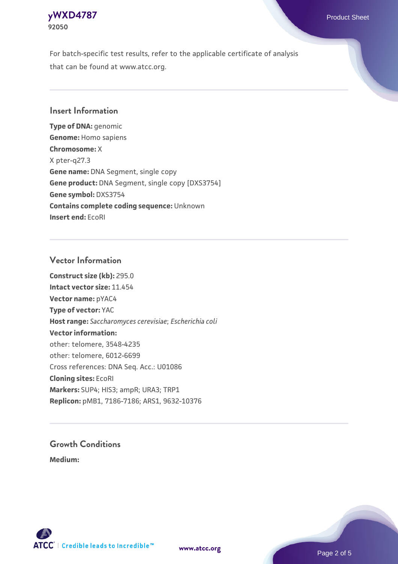

For batch-specific test results, refer to the applicable certificate of analysis that can be found at www.atcc.org.

# **Insert Information**

**Type of DNA:** genomic **Genome:** Homo sapiens **Chromosome:** X X pter-q27.3 **Gene name:** DNA Segment, single copy **Gene product:** DNA Segment, single copy [DXS3754] **Gene symbol:** DXS3754 **Contains complete coding sequence:** Unknown **Insert end:** EcoRI

#### **Vector Information**

**Construct size (kb):** 295.0 **Intact vector size:** 11.454 **Vector name:** pYAC4 **Type of vector:** YAC **Host range:** *Saccharomyces cerevisiae*; *Escherichia coli* **Vector information:** other: telomere, 3548-4235 other: telomere, 6012-6699 Cross references: DNA Seq. Acc.: U01086 **Cloning sites:** EcoRI **Markers:** SUP4; HIS3; ampR; URA3; TRP1 **Replicon:** pMB1, 7186-7186; ARS1, 9632-10376

# **Growth Conditions**

**Medium:** 



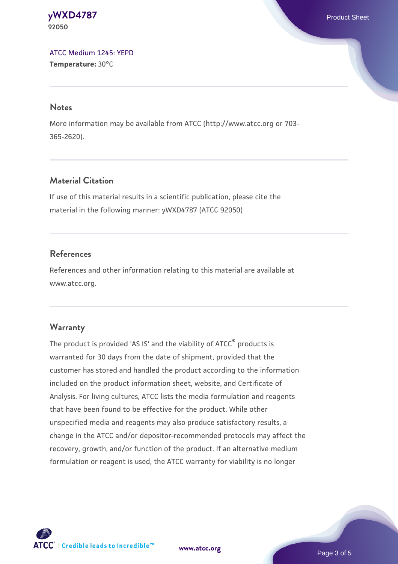**[yWXD4787](https://www.atcc.org/products/92050)** Product Sheet **92050**

[ATCC Medium 1245: YEPD](https://www.atcc.org/-/media/product-assets/documents/microbial-media-formulations/1/2/4/5/atcc-medium-1245.pdf?rev=705ca55d1b6f490a808a965d5c072196) **Temperature:** 30°C

#### **Notes**

More information may be available from ATCC (http://www.atcc.org or 703- 365-2620).

# **Material Citation**

If use of this material results in a scientific publication, please cite the material in the following manner: yWXD4787 (ATCC 92050)

# **References**

References and other information relating to this material are available at www.atcc.org.

### **Warranty**

The product is provided 'AS IS' and the viability of ATCC® products is warranted for 30 days from the date of shipment, provided that the customer has stored and handled the product according to the information included on the product information sheet, website, and Certificate of Analysis. For living cultures, ATCC lists the media formulation and reagents that have been found to be effective for the product. While other unspecified media and reagents may also produce satisfactory results, a change in the ATCC and/or depositor-recommended protocols may affect the recovery, growth, and/or function of the product. If an alternative medium formulation or reagent is used, the ATCC warranty for viability is no longer



**[www.atcc.org](http://www.atcc.org)**

Page 3 of 5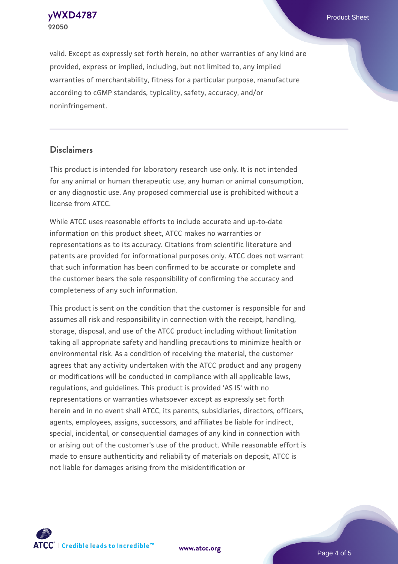**92050**

**[yWXD4787](https://www.atcc.org/products/92050)** Product Sheet

valid. Except as expressly set forth herein, no other warranties of any kind are provided, express or implied, including, but not limited to, any implied warranties of merchantability, fitness for a particular purpose, manufacture according to cGMP standards, typicality, safety, accuracy, and/or noninfringement.

#### **Disclaimers**

This product is intended for laboratory research use only. It is not intended for any animal or human therapeutic use, any human or animal consumption, or any diagnostic use. Any proposed commercial use is prohibited without a license from ATCC.

While ATCC uses reasonable efforts to include accurate and up-to-date information on this product sheet, ATCC makes no warranties or representations as to its accuracy. Citations from scientific literature and patents are provided for informational purposes only. ATCC does not warrant that such information has been confirmed to be accurate or complete and the customer bears the sole responsibility of confirming the accuracy and completeness of any such information.

This product is sent on the condition that the customer is responsible for and assumes all risk and responsibility in connection with the receipt, handling, storage, disposal, and use of the ATCC product including without limitation taking all appropriate safety and handling precautions to minimize health or environmental risk. As a condition of receiving the material, the customer agrees that any activity undertaken with the ATCC product and any progeny or modifications will be conducted in compliance with all applicable laws, regulations, and guidelines. This product is provided 'AS IS' with no representations or warranties whatsoever except as expressly set forth herein and in no event shall ATCC, its parents, subsidiaries, directors, officers, agents, employees, assigns, successors, and affiliates be liable for indirect, special, incidental, or consequential damages of any kind in connection with or arising out of the customer's use of the product. While reasonable effort is made to ensure authenticity and reliability of materials on deposit, ATCC is not liable for damages arising from the misidentification or



**[www.atcc.org](http://www.atcc.org)**

Page 4 of 5